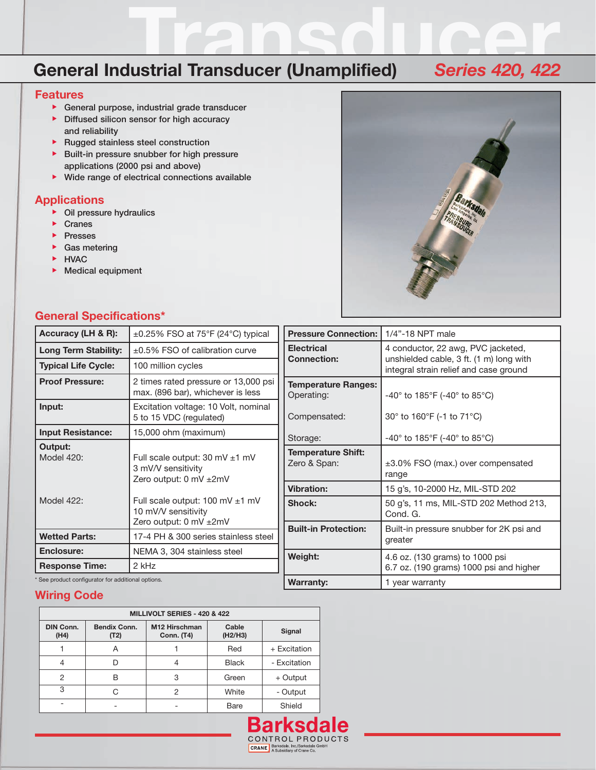# General Industrial Transducer (Unamplified) Series 420, 422

#### **Features**

- General purpose, industrial grade transducer
- Diffused silicon sensor for high accuracy
- and reliability **Rugged stainless steel construction**
- **Built-in pressure snubber for high pressure** applications (2000 psi and above)
- Wide range of electrical connections available

### **Applications**

- Oil pressure hydraulics
- Cranes
- **Presses**
- Gas metering
- **EXAMPLE**
- Medical equipment



#### **General Specifications\***

| Accuracy (LH & R):                               | $\pm 0.25\%$ FSO at 75°F (24°C) typical                                        | <b>Pressure Connection:</b>               | 1/4"-18 NPT male                                                                  |  |
|--------------------------------------------------|--------------------------------------------------------------------------------|-------------------------------------------|-----------------------------------------------------------------------------------|--|
| <b>Long Term Stability:</b>                      | $\pm 0.5\%$ FSO of calibration curve                                           | <b>Electrical</b>                         | 4 conductor, 22 awg, PVC jacketed,                                                |  |
| <b>Typical Life Cycle:</b>                       | 100 million cycles                                                             | <b>Connection:</b>                        | unshielded cable, 3 ft. (1 m) long with<br>integral strain relief and case ground |  |
| <b>Proof Pressure:</b>                           | 2 times rated pressure or 13,000 psi<br>max. (896 bar), whichever is less      | <b>Temperature Ranges:</b><br>Operating:  | -40° to 185°F (-40° to 85°C)                                                      |  |
| Input:                                           | Excitation voltage: 10 Volt, nominal<br>5 to 15 VDC (regulated)                | Compensated:                              | 30 $\degree$ to 160 $\degree$ F (-1 to 71 $\degree$ C)                            |  |
| <b>Input Resistance:</b>                         | 15,000 ohm (maximum)                                                           | Storage:                                  | -40° to 185°F (-40° to 85°C)                                                      |  |
| Output:<br><b>Model 420:</b>                     | Full scale output: 30 mV ±1 mV<br>3 mV/V sensitivity<br>Zero output: 0 mV ±2mV | <b>Temperature Shift:</b><br>Zero & Span: | ±3.0% FSO (max.) over compensated<br>range                                        |  |
|                                                  |                                                                                | <b>Vibration:</b>                         | 15 g's, 10-2000 Hz, MIL-STD 202                                                   |  |
| Model 422:                                       | Full scale output: 100 mV $\pm$ 1 mV<br>10 mV/V sensitivity                    | Shock:                                    | 50 g's, 11 ms, MIL-STD 202 Method 213,<br>Cond. G.                                |  |
| <b>Wetted Parts:</b>                             | Zero output: 0 mV ±2mV<br>17-4 PH & 300 series stainless steel                 | <b>Built-in Protection:</b>               | Built-in pressure snubber for 2K psi and                                          |  |
|                                                  |                                                                                |                                           | greater                                                                           |  |
| Enclosure:                                       | NEMA 3, 304 stainless steel                                                    | Weight:                                   | 4.6 oz. (130 grams) to 1000 psi                                                   |  |
| <b>Response Time:</b>                            | 2 kHz                                                                          |                                           | 6.7 oz. (190 grams) 1000 psi and higher                                           |  |
| See product configurator for additional options. |                                                                                | <b>Warranty:</b>                          | 1 year warranty                                                                   |  |

### **Wiring Code**

| MILLIVOLT SERIES - 420 & 422 |                             |                                    |                  |              |  |  |
|------------------------------|-----------------------------|------------------------------------|------------------|--------------|--|--|
| <b>DIN Conn.</b><br>(H4)     | <b>Bendix Conn.</b><br>(T2) | M12 Hirschman<br><b>Conn. (T4)</b> | Cable<br>(H2/H3) | Signal       |  |  |
|                              | Α                           |                                    | Red              | + Excitation |  |  |
| 4                            |                             |                                    | <b>Black</b>     | - Excitation |  |  |
| 2                            | в                           | 3                                  | Green            | + Output     |  |  |
| 3                            |                             | 2                                  | White            | - Output     |  |  |
|                              |                             |                                    | Bare             | Shield       |  |  |